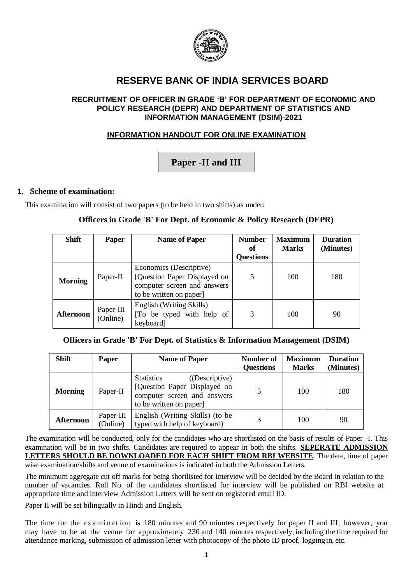

## **RESERVE BANK OF INDIA SERVICES BOARD**

#### **RECRUITMENT OF OFFICER IN GRADE 'B' FOR DEPARTMENT OF ECONOMIC AND POLICY RESEARCH (DEPR) AND DEPARTMENT OF STATISTICS AND INFORMATION MANAGEMENT (DSIM)-2021**

### **INFORMATION HANDOUT FOR ONLINE EXAMINATION**

# **Paper -II and III**

#### **1. Scheme of examination:**

This examination will consist of two papers (to be held in two shifts) as under:

#### **Officers in Grade 'B' For Dept. of Economic & Policy Research (DEPR)**

| <b>Shift</b>     | <b>Paper</b>          | <b>Name of Paper</b>                                                                                             | <b>Number</b><br>of | <b>Maximum</b><br><b>Marks</b> | <b>Duration</b><br>(Minutes) |
|------------------|-----------------------|------------------------------------------------------------------------------------------------------------------|---------------------|--------------------------------|------------------------------|
|                  |                       |                                                                                                                  | <b>Questions</b>    |                                |                              |
| <b>Morning</b>   | Paper-II              | Economics (Descriptive)<br>[Question Paper Displayed on<br>computer screen and answers<br>to be written on paper | 5                   | 100                            | 180                          |
| <b>Afternoon</b> | Paper-III<br>(Online) | English (Writing Skills)<br>To be typed with help of<br>keyboard]                                                | 3                   | 100                            | 90                           |

#### **Officers in Grade 'B' For Dept. of Statistics & Information Management (DSIM)**

| <b>Shift</b>   | <b>Paper</b>          | <b>Name of Paper</b>                                                                                                          | Number of<br><b>Questions</b> | <b>Maximum</b><br><b>Marks</b> | <b>Duration</b><br>(Minutes) |
|----------------|-----------------------|-------------------------------------------------------------------------------------------------------------------------------|-------------------------------|--------------------------------|------------------------------|
| <b>Morning</b> | Paper-II              | <b>Statistics</b><br>((Descriptive)<br>[Question Paper Displayed on<br>computer screen and answers<br>to be written on paper] |                               | 100                            | 180                          |
| Afternoon      | Paper-III<br>(Online) | English (Writing Skills) (to be<br>typed with help of keyboard)                                                               |                               | 100                            | 90                           |

The examination will be conducted, only for the candidates who are shortlisted on the basis of results of Paper -I. This examination will be in two shifts. Candidates are required to appear in both the shifts. **SEPERATE ADMISSION LETTERS SHOULD BE DOWNLOADED FOR EACH SHIFT FROM RBI WEBSITE**. The date, time of paper wise examination/shifts and venue of examinations is indicated in both the Admission Letters.

The minimum aggregate cut off marks for being shortlisted for Interview will be decided by the Board in relation to the number of vacancies. Roll No. of the candidates shortlisted for interview will be published on RBI website at appropriate time and interview Admission Letters will be sent on registered email ID.

Paper II will be set bilingually in Hindi and English.

The time for the examination is 180 minutes and 90 minutes respectively for paper II and III; however, you may have to be at the venue for approximately 230 and 140 minutes respectively, including the time required for attendance marking, submission of admission letter with photocopy of the photo ID proof, logging in, etc.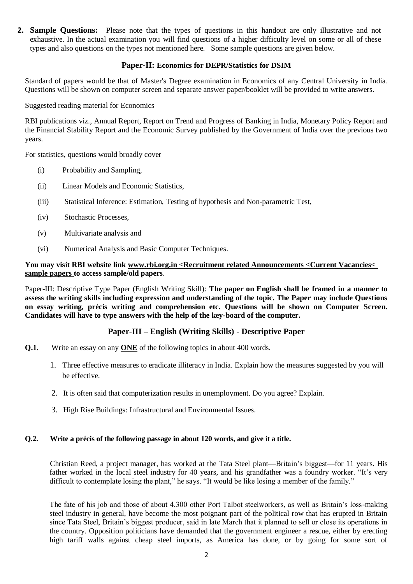**2. Sample Questions:** Please note that the types of questions in this handout are only illustrative and not exhaustive. In the actual examination you will find questions of a higher difficulty level on some or all of these types and also questions on the types not mentioned here. Some sample questions are given below.

#### **Paper-II: Economics for DEPR/Statistics for DSIM**

Standard of papers would be that of Master's Degree examination in Economics of any Central University in India. Questions will be shown on computer screen and separate answer paper/booklet will be provided to write answers.

Suggested reading material for Economics –

RBI publications viz., Annual Report, Report on Trend and Progress of Banking in India, Monetary Policy Report and the Financial Stability Report and the Economic Survey published by the Government of India over the previous two years.

For statistics, questions would broadly cover

- (i) Probability and Sampling,
- (ii) Linear Models and Economic Statistics,
- (iii) Statistical Inference: Estimation, Testing of hypothesis and Non-parametric Test,
- (iv) Stochastic Processes,
- (v) Multivariate analysis and
- (vi) Numerical Analysis and Basic Computer Techniques.

#### **You may visit RBI website link www.rbi.org.in <Recruitment related Announcements <Current Vacancies< sample papers to access sample/old papers**.

Paper-III: Descriptive Type Paper (English Writing Skill): **The paper on English shall be framed in a manner to assess the writing skills including expression and understanding of the topic. The Paper may include Questions on essay writing, précis writing and comprehension etc. Questions will be shown on Computer Screen. Candidates will have to type answers with the help of the key-board of the computer.**

#### **Paper-III – English (Writing Skills) - Descriptive Paper**

- **Q.1.** Write an essay on any **ONE** of the following topics in about 400 words.
	- 1. Three effective measures to eradicate illiteracy in India. Explain how the measures suggested by you will be effective.
	- 2. It is often said that computerization results in unemployment. Do you agree? Explain.
	- 3. High Rise Buildings: Infrastructural and Environmental Issues.

#### **Q.2. Write a précis of the following passage in about 120 words, and give it a title.**

Christian Reed, a project manager, has worked at the Tata Steel plant—Britain's biggest—for 11 years. His father worked in the local steel industry for 40 years, and his grandfather was a foundry worker. "It's very difficult to contemplate losing the plant," he says. "It would be like losing a member of the family."

The fate of his job and those of about 4,300 other Port Talbot steelworkers, as well as Britain's loss-making steel industry in general, have become the most poignant part of the political row that has erupted in Britain since Tata Steel, Britain's biggest producer, said in late March that it planned to sell or close its operations in the country. Opposition politicians have demanded that the government engineer a rescue, either by erecting high tariff walls against cheap steel imports, as America has done, or by going for some sort of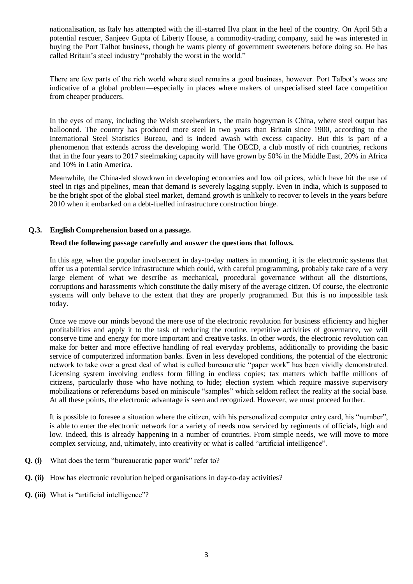nationalisation, as Italy has attempted with the ill-starred Ilva plant in the heel of the country. On April 5th a potential rescuer, Sanjeev Gupta of Liberty House, a commodity-trading company, said he was interested in buying the Port Talbot business, though he wants plenty of government sweeteners before doing so. He has called Britain's steel industry "probably the worst in the world."

There are few parts of the rich world where steel remains a good business, however. Port Talbot's woes are indicative of a global problem—especially in places where makers of unspecialised steel face competition from cheaper producers.

In the eyes of many, including the Welsh steelworkers, the main bogeyman is China, where steel output has ballooned. The country has produced more steel in two years than Britain since 1900, according to the International Steel Statistics Bureau, and is indeed awash with excess capacity. But this is part of a phenomenon that extends across the developing world. The OECD, a club mostly of rich countries, reckons that in the four years to 2017 steelmaking capacity will have grown by 50% in the Middle East, 20% in Africa and 10% in Latin America.

Meanwhile, the China-led slowdown in developing economies and low oil prices, which have hit the use of steel in rigs and pipelines, mean that demand is severely lagging supply. Even in India, which is supposed to be the bright spot of the global steel market, demand growth is unlikely to recover to levels in the years before 2010 when it embarked on a debt-fuelled infrastructure construction binge.

#### **Q.3. English Comprehension based on a passage.**

#### **Read the following passage carefully and answer the questions that follows.**

In this age, when the popular involvement in day-to-day matters in mounting, it is the electronic systems that offer us a potential service infrastructure which could, with careful programming, probably take care of a very large element of what we describe as mechanical, procedural governance without all the distortions, corruptions and harassments which constitute the daily misery of the average citizen. Of course, the electronic systems will only behave to the extent that they are properly programmed. But this is no impossible task today.

Once we move our minds beyond the mere use of the electronic revolution for business efficiency and higher profitabilities and apply it to the task of reducing the routine, repetitive activities of governance, we will conserve time and energy for more important and creative tasks. In other words, the electronic revolution can make for better and more effective handling of real everyday problems, additionally to providing the basic service of computerized information banks. Even in less developed conditions, the potential of the electronic network to take over a great deal of what is called bureaucratic "paper work" has been vividly demonstrated. Licensing system involving endless form filling in endless copies; tax matters which baffle millions of citizens, particularly those who have nothing to hide; election system which require massive supervisory mobilizations or referendums based on miniscule "samples" which seldom reflect the reality at the social base. At all these points, the electronic advantage is seen and recognized. However, we must proceed further.

It is possible to foresee a situation where the citizen, with his personalized computer entry card, his "number", is able to enter the electronic network for a variety of needs now serviced by regiments of officials, high and low. Indeed, this is already happening in a number of countries. From simple needs, we will move to more complex servicing, and, ultimately, into creativity or what is called "artificial intelligence".

- **Q. (i)** What does the term "bureaucratic paper work" refer to?
- **Q. (ii)** How has electronic revolution helped organisations in day-to-day activities?
- **Q. (iii)** What is "artificial intelligence"?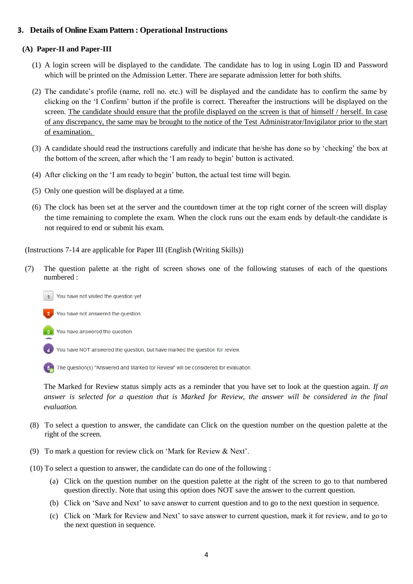### **3. Details of Online Exam Pattern : Operational Instructions**

#### **(A) Paper-II and Paper-III**

- (1) A login screen will be displayed to the candidate. The candidate has to log in using Login ID and Password which will be printed on the Admission Letter. There are separate admission letter for both shifts.
- (2) The candidate's profile (name, roll no. etc.) will be displayed and the candidate has to confirm the same by clicking on the 'I Confirm' button if the profile is correct. Thereafter the instructions will be displayed on the screen. The candidate should ensure that the profile displayed on the screen is that of himself / herself. In case of any discrepancy, the same may be brought to the notice of the Test Administrator/Invigilator prior to the start of examination.
- (3) A candidate should read the instructions carefully and indicate that he/she has done so by 'checking' the box at the bottom of the screen, after which the 'I am ready to begin' button is activated.
- (4) After clicking on the 'I am ready to begin' button, the actual test time will begin.
- (5) Only one question will be displayed at a time.
- (6) The clock has been set at the server and the countdown timer at the top right corner of the screen will display the time remaining to complete the exam. When the clock runs out the exam ends by default-the candidate is not required to end or submit his exam.

(Instructions 7-14 are applicable for Paper III (English (Writing Skills))

- (7) The question palette at the right of screen shows one of the following statuses of each of the questions numbered :
	- You have not visited the question yet.



You have answered the question.

You have NOT answered the question, but have marked the question for review.

5. The question(s) "Answered and Marked for Review" will be considered for evaluation.

The Marked for Review status simply acts as a reminder that you have set to look at the question again. *If an answer is selected for a question that is Marked for Review, the answer will be considered in the final evaluation.*

- (8) To select a question to answer, the candidate can Click on the question number on the question palette at the right of the screen.
- (9) To mark a question for review click on 'Mark for Review & Next'.
- (10) To select a question to answer, the candidate can do one of the following :
	- (a) Click on the question number on the question palette at the right of the screen to go to that numbered question directly. Note that using this option does NOT save the answer to the current question.
	- (b) Click on 'Save and Next' to save answer to current question and to go to the next question in sequence.
	- (c) Click on 'Mark for Review and Next' to save answer to current question, mark it for review, and to go to the next question in sequence.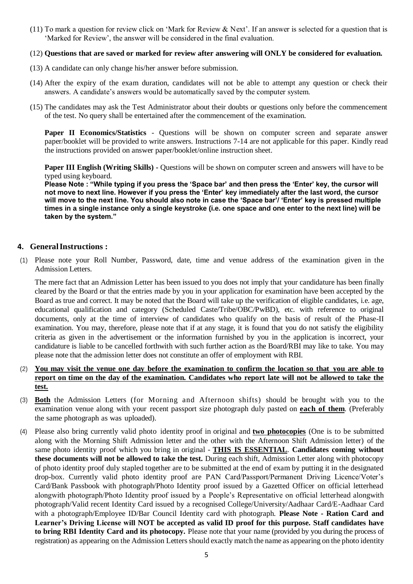(11) To mark a question for review click on 'Mark for Review & Next'. If an answer is selected for a question that is 'Marked for Review', the answer will be considered in the final evaluation.

#### (12) **Questions that are saved or marked for review after answering will ONLY be considered for evaluation.**

- (13) A candidate can only change his/her answer before submission.
- (14) After the expiry of the exam duration, candidates will not be able to attempt any question or check their answers. A candidate's answers would be automatically saved by the computer system.
- (15) The candidates may ask the Test Administrator about their doubts or questions only before the commencement of the test. No query shall be entertained after the commencement of the examination.

**Paper II Economics/Statistics** - Questions will be shown on computer screen and separate answer paper/booklet will be provided to write answers. Instructions 7-14 are not applicable for this paper. Kindly read the instructions provided on answer paper/booklet/online instruction sheet.

**Paper III English (Writing Skills) -** Questions will be shown on computer screen and answers will have to be typed using keyboard.

**Please Note : "While typing if you press the 'Space bar' and then press the 'Enter' key, the cursor will not move to next line. However if you press the 'Enter' key immediately after the last word, the cursor will move to the next line. You should also note in case the 'Space bar'/ 'Enter' key is pressed multiple times in a single instance only a single keystroke (i.e. one space and one enter to the next line) will be taken by the system."**

#### **4. GeneralInstructions :**

(1) Please note your Roll Number, Password, date, time and venue address of the examination given in the Admission Letters.

The mere fact that an Admission Letter has been issued to you does not imply that your candidature has been finally cleared by the Board or that the entries made by you in your application for examination have been accepted by the Board as true and correct. It may be noted that the Board will take up the verification of eligible candidates, i.e. age, educational qualification and category (Scheduled Caste/Tribe/OBC/PwBD), etc. with reference to original documents, only at the time of interview of candidates who qualify on the basis of result of the Phase-II examination. You may, therefore, please note that if at any stage, it is found that you do not satisfy the eligibility criteria as given in the advertisement or the information furnished by you in the application is incorrect, your candidature is liable to be cancelled forthwith with such further action as the Board/RBI may like to take. You may please note that the admission letter does not constitute an offer of employment with RBI.

- (2) You may visit the venue one day before the examination to confirm the location so that you are able to **report on time on the day of the examination. Candidates who report late will not be allowed to take the test.**
- (3) **Both** the Admission Letters (for Morning and Afternoon shifts) should be brought with you to the examination venue along with your recent passport size photograph duly pasted on **each of them**. (Preferably the same photograph as was uploaded).
- (4) Please also bring currently valid photo identity proof in original and **two photocopies** (One is to be submitted along with the Morning Shift Admission letter and the other with the Afternoon Shift Admission letter) of the same photo identity proof which you bring in original - **THIS IS ESSENTIAL**. **Candidates coming without these documents will not be allowed to take the test.** During each shift, Admission Letter along with photocopy of photo identity proof duly stapled together are to be submitted at the end of exam by putting it in the designated drop-box. Currently valid photo identity proof are PAN Card/Passport/Permanent Driving Licence/Voter's Card/Bank Passbook with photograph/Photo Identity proof issued by a Gazetted Officer on official letterhead alongwith photograph/Photo Identity proof issued by a People's Representative on official letterhead alongwith photograph/Valid recent Identity Card issued by a recognised College/University/Aadhaar Card/E-Aadhaar Card with a photograph/Employee ID/Bar Council Identity card with photograph. **Please Note - Ration Card and Learner's Driving License will NOT be accepted as valid ID proof for this purpose. Staff candidates have to bring RBI Identity Card and its photocopy.** Please note that your name (provided by you during the process of registration) as appearing on the Admission Letters should exactly match the name as appearing on the photo identity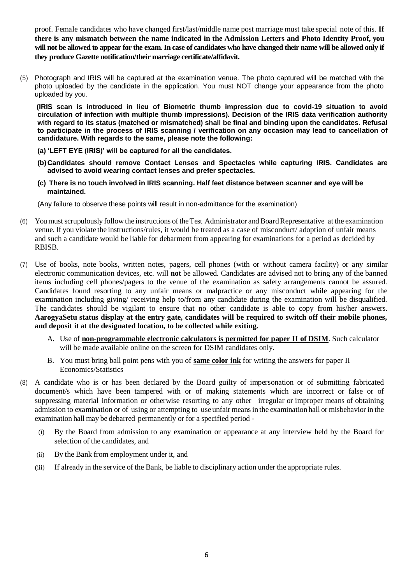proof. Female candidates who have changed first/last/middle name post marriage must take special note of this. **If there is any mismatch between the name indicated in the Admission Letters and Photo Identity Proof, you will not be allowed to appear for the exam. In case of candidates who have changed their name will be allowed only if they produce Gazette notification/their marriage certificate/affidavit.**

(5) Photograph and IRIS will be captured at the examination venue. The photo captured will be matched with the photo uploaded by the candidate in the application. You must NOT change your appearance from the photo uploaded by you.

 **(IRIS scan is introduced in lieu of Biometric thumb impression due to covid-19 situation to avoid circulation of infection with multiple thumb impressions). Decision of the IRIS data verification authority with regard to its status (matched or mismatched) shall be final and binding upon the candidates. Refusal to participate in the process of IRIS scanning / verification on any occasion may lead to cancellation of candidature. With regards to the same, please note the following:**

- **(a) 'LEFT EYE (IRIS)' will be captured for all the candidates.**
- **(b) Candidates should remove Contact Lenses and Spectacles while capturing IRIS. Candidates are advised to avoid wearing contact lenses and prefer spectacles.**
- **(c) There is no touch involved in IRIS scanning. Half feet distance between scanner and eye will be maintained.**

(Any failure to observe these points will result in non-admittance for the examination)

- (6) Youmustscrupulously follow the instructions of theTest Administrator andBoardRepresentative at the examination venue. If you violate the instructions/rules, it would be treated as a case of misconduct/ adoption of unfair means and such a candidate would be liable for debarment from appearing for examinations for a period as decided by RBISB.
- (7) Use of books, note books, written notes, pagers, cell phones (with or without camera facility) or any similar electronic communication devices, etc. will **not** be allowed. Candidates are advised not to bring any of the banned items including cell phones/pagers to the venue of the examination as safety arrangements cannot be assured. Candidates found resorting to any unfair means or malpractice or any misconduct while appearing for the examination including giving/ receiving help to/from any candidate during the examination will be disqualified. The candidates should be vigilant to ensure that no other candidate is able to copy from his/her answers. **AarogyaSetu status display at the entry gate, candidates will be required to switch off their mobile phones, and deposit it at the designated location, to be collected while exiting.**
	- A. Use of **non-programmable electronic calculators is permitted for paper II of DSIM**. Such calculator will be made available online on the screen for DSIM candidates only.
	- B. You must bring ball point pens with you of **same color ink** for writing the answers for paper II Economics/Statistics
- (8) A candidate who is or has been declared by the Board guilty of impersonation or of submitting fabricated document/s which have been tampered with or of making statements which are incorrect or false or of suppressing material information or otherwise resorting to any other irregular or improper means of obtaining admission to examination or of using or attempting to use unfair meansin the examination hall or misbehavior in the examination hall may be debarred permanently or for a specified period -
	- (i) By the Board from admission to any examination or appearance at any interview held by the Board for selection of the candidates, and
	- (ii) By the Bank from employment under it, and
	- (iii) If already in the service of the Bank, be liable to disciplinary action under the appropriate rules.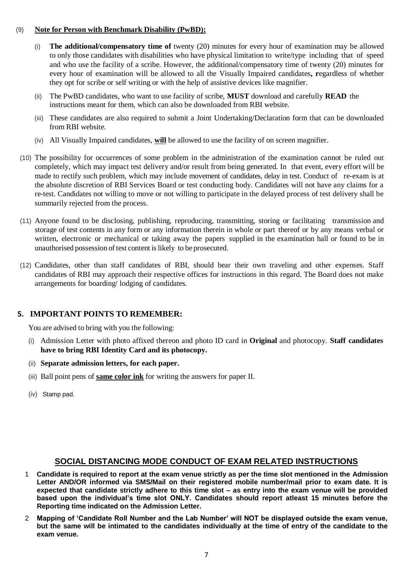#### (9) **Note for Person with Benchmark Disability (PwBD):**

- (i) **The additional/compensatory time of** twenty (20) minutes for every hour of examination may be allowed to only those candidates with disabilities who have physical limitation to write/type including that of speed and who use the facility of a scribe. However, the additional/compensatory time of twenty (20) minutes for every hour of examination will be allowed to all the Visually Impaired candidates**, r**egardless of whether they opt for scribe or self writing or with the help of assistive devices like magnifier.
- (ii) The PwBD candidates, who want to use facility of scribe, **MUST** download and carefully **READ** the instructions meant for them, which can also be downloaded from RBI website.
- (iii) These candidates are also required to submit a Joint Undertaking/Declaration form that can be downloaded from RBI website.
- (iv) All Visually Impaired candidates, **will** be allowed to use the facility of on screen magnifier.
- (10) The possibility for occurrences of some problem in the administration of the examination cannot be ruled out completely, which may impact test delivery and/or result from being generated. In that event, every effort will be made to rectify such problem, which may include movement of candidates, delay in test. Conduct of re-exam is at the absolute discretion of RBI Services Board or test conducting body. Candidates will not have any claims for a re-test. Candidates not willing to move or not willing to participate in the delayed process of test delivery shall be summarily rejected from the process.
- (11) Anyone found to be disclosing, publishing, reproducing, transmitting, storing or facilitating transmission and storage of test contents in any form or any information therein in whole or part thereof or by any means verbal or written, electronic or mechanical or taking away the papers supplied in the examination hall or found to be in unauthorised possession of test content islikely to be prosecuted.
- (12) Candidates, other than staff candidates of RBI, should bear their own traveling and other expenses. Staff candidates of RBI may approach their respective offices for instructions in this regard. The Board does not make arrangements for boarding/ lodging of candidates.

## **5. IMPORTANT POINTS TO REMEMBER:**

You are advised to bring with you the following:

- (i) Admission Letter with photo affixed thereon and photo ID card in **Original** and photocopy. **Staff candidates have to bring RBI Identity Card and its photocopy.**
- (ii) **Separate admission letters, for each paper.**
- (iii) Ball point pens of **same color ink** for writing the answers for paper II.
- (iv) Stamp pad.

## **SOCIAL DISTANCING MODE CONDUCT OF EXAM RELATED INSTRUCTIONS**

- 1 **Candidate is required to report at the exam venue strictly as per the time slot mentioned in the Admission Letter AND/OR informed via SMS/Mail on their registered mobile number/mail prior to exam date. It is expected that candidate strictly adhere to this time slot – as entry into the exam venue will be provided based upon the individual's time slot ONLY. Candidates should report atleast 15 minutes before the Reporting time indicated on the Admission Letter.**
- 2 **Mapping of 'Candidate Roll Number and the Lab Number' will NOT be displayed outside the exam venue, but the same will be intimated to the candidates individually at the time of entry of the candidate to the exam venue.**